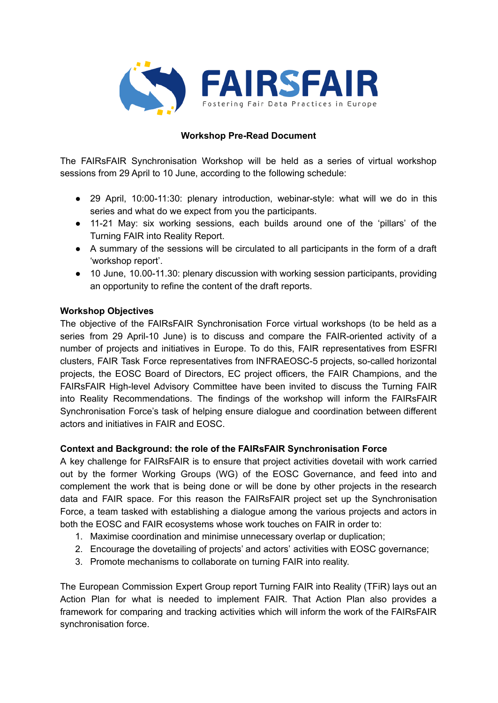

## **Workshop Pre-Read Document**

The FAIRsFAIR Synchronisation Workshop will be held as a series of virtual workshop sessions from 29 April to 10 June, according to the following schedule:

- 29 April, 10:00-11:30: plenary introduction, webinar-style: what will we do in this series and what do we expect from you the participants.
- 11-21 May: six working sessions, each builds around one of the 'pillars' of the Turning FAIR into Reality Report.
- A summary of the sessions will be circulated to all participants in the form of a draft 'workshop report'.
- 10 June, 10.00-11.30: plenary discussion with working session participants, providing an opportunity to refine the content of the draft reports.

## **Workshop Objectives**

The objective of the FAIRsFAIR Synchronisation Force virtual workshops (to be held as a series from 29 April-10 June) is to discuss and compare the FAIR-oriented activity of a number of projects and initiatives in Europe. To do this, FAIR representatives from ESFRI clusters, FAIR Task Force representatives from INFRAEOSC-5 projects, so-called horizontal projects, the EOSC Board of Directors, EC project officers, the FAIR Champions, and the FAIRsFAIR High-level Advisory Committee have been invited to discuss the Turning FAIR into Reality Recommendations. The findings of the workshop will inform the FAIRsFAIR Synchronisation Force's task of helping ensure dialogue and coordination between different actors and initiatives in FAIR and EOSC.

## **Context and Background: the role of the FAIRsFAIR Synchronisation Force**

A key challenge for FAIRsFAIR is to ensure that project activities dovetail with work carried out by the former Working Groups (WG) of the EOSC Governance, and feed into and complement the work that is being done or will be done by other projects in the research data and FAIR space. For this reason the FAIRsFAIR project set up the Synchronisation Force, a team tasked with establishing a dialogue among the various projects and actors in both the EOSC and FAIR ecosystems whose work touches on FAIR in order to:

- 1. Maximise coordination and minimise unnecessary overlap or duplication;
- 2. Encourage the dovetailing of projects' and actors' activities with EOSC governance;
- 3. Promote mechanisms to collaborate on turning FAIR into reality.

The European Commission Expert Group report Turning FAIR into Reality (TFiR) lays out an Action Plan for what is needed to implement FAIR. That Action Plan also provides a framework for comparing and tracking activities which will inform the work of the FAIRsFAIR synchronisation force.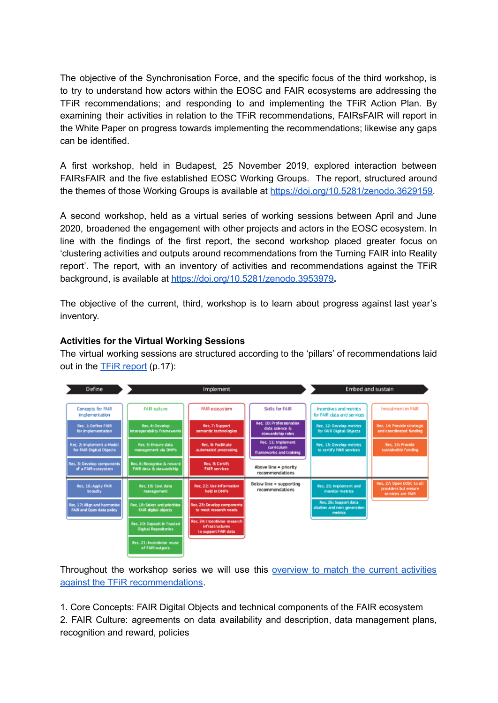The objective of the Synchronisation Force, and the specific focus of the third workshop, is to try to understand how actors within the EOSC and FAIR ecosystems are addressing the TFiR recommendations; and responding to and implementing the TFiR Action Plan. By examining their activities in relation to the TFiR recommendations, FAIRsFAIR will report in the White Paper on progress towards implementing the recommendations; likewise any gaps can be identified.

A first workshop, held in Budapest, 25 November 2019, explored interaction between FAIRsFAIR and the five established EOSC Working Groups. The report, structured around the themes of those Working Groups is available at [https://doi.org/10.5281/zenodo.3629159.](https://doi.org/10.5281/zenodo.3629159)

A second workshop, held as a virtual series of working sessions between April and June 2020, broadened the engagement with other projects and actors in the EOSC ecosystem. In line with the findings of the first report, the second workshop placed greater focus on 'clustering activities and outputs around recommendations from the Turning FAIR into Reality report'. The report, with an inventory of activities and recommendations against the TFiR background, is available at <https://doi.org/10.5281/zenodo.3953979>**.**

The objective of the current, third, workshop is to learn about progress against last year's inventory.

## **Activities for the Virtual Working Sessions**

The virtual working sessions are structured according to the 'pillars' of recommendations laid out in the TFiR [report](https://ec.europa.eu/info/sites/info/files/turning_fair_into_reality_1.pdf) (p.17):



Throughout the workshop series we will use this [overview](https://docs.google.com/spreadsheets/d/1gFm3XK4JEN5rdKEpq1HWpJM6iurckf6EByevXxR6wmE/edit#gid=1061357986) to match the current activities against the TFiR [recommendations](https://docs.google.com/spreadsheets/d/1gFm3XK4JEN5rdKEpq1HWpJM6iurckf6EByevXxR6wmE/edit#gid=1061357986).

1. Core Concepts: FAIR Digital Objects and technical components of the FAIR ecosystem 2. FAIR Culture: agreements on data availability and description, data management plans, recognition and reward, policies